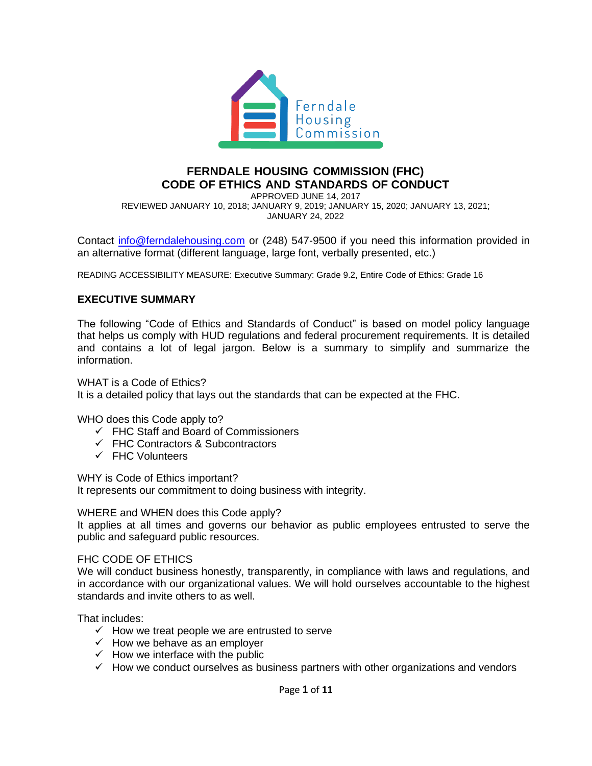

### **FERNDALE HOUSING COMMISSION (FHC) CODE OF ETHICS AND STANDARDS OF CONDUCT**

APPROVED JUNE 14, 2017 REVIEWED JANUARY 10, 2018; JANUARY 9, 2019; JANUARY 15, 2020; JANUARY 13, 2021; JANUARY 24, 2022

Contact [info@ferndalehousing.com](mailto:info@ferndalehousing.com) or (248) 547-9500 if you need this information provided in an alternative format (different language, large font, verbally presented, etc.)

READING ACCESSIBILITY MEASURE: Executive Summary: Grade 9.2, Entire Code of Ethics: Grade 16

#### **EXECUTIVE SUMMARY**

The following "Code of Ethics and Standards of Conduct" is based on model policy language that helps us comply with HUD regulations and federal procurement requirements. It is detailed and contains a lot of legal jargon. Below is a summary to simplify and summarize the information.

WHAT is a Code of Ethics? It is a detailed policy that lays out the standards that can be expected at the FHC.

WHO does this Code apply to?

- ✓ FHC Staff and Board of Commissioners
- ✓ FHC Contractors & Subcontractors
- ✓ FHC Volunteers

WHY is Code of Ethics important?

It represents our commitment to doing business with integrity.

WHERE and WHEN does this Code apply?

It applies at all times and governs our behavior as public employees entrusted to serve the public and safeguard public resources.

#### FHC CODE OF ETHICS

We will conduct business honestly, transparently, in compliance with laws and regulations, and in accordance with our organizational values. We will hold ourselves accountable to the highest standards and invite others to as well.

That includes:

- $\checkmark$  How we treat people we are entrusted to serve
- $\checkmark$  How we behave as an employer
- $\checkmark$  How we interface with the public
- $\checkmark$  How we conduct ourselves as business partners with other organizations and vendors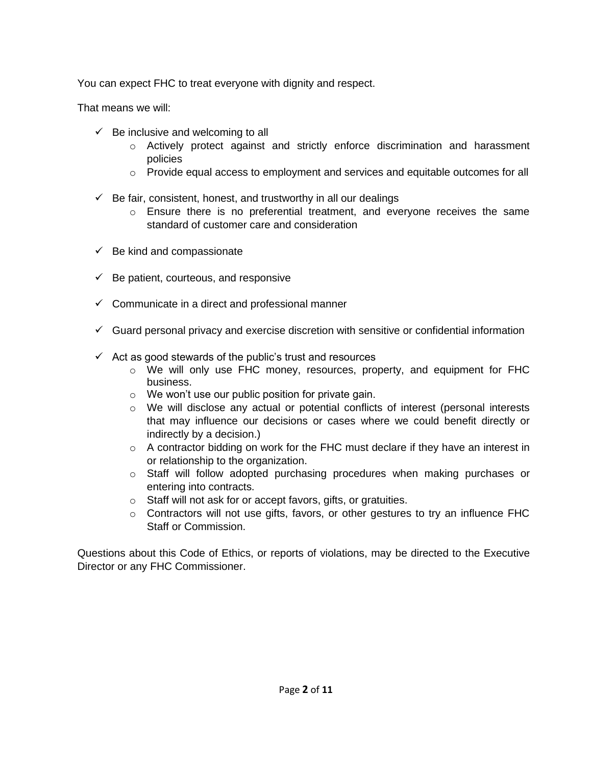You can expect FHC to treat everyone with dignity and respect.

That means we will:

- $\checkmark$  Be inclusive and welcoming to all
	- $\circ$  Actively protect against and strictly enforce discrimination and harassment policies
	- $\circ$  Provide equal access to employment and services and equitable outcomes for all
- $\checkmark$  Be fair, consistent, honest, and trustworthy in all our dealings
	- $\circ$  Ensure there is no preferential treatment, and everyone receives the same standard of customer care and consideration
- $\checkmark$  Be kind and compassionate
- $\checkmark$  Be patient, courteous, and responsive
- $\checkmark$  Communicate in a direct and professional manner
- $\checkmark$  Guard personal privacy and exercise discretion with sensitive or confidential information
- $\checkmark$  Act as good stewards of the public's trust and resources
	- $\circ$  We will only use FHC money, resources, property, and equipment for FHC business.
	- o We won't use our public position for private gain.
	- $\circ$  We will disclose any actual or potential conflicts of interest (personal interests that may influence our decisions or cases where we could benefit directly or indirectly by a decision.)
	- o A contractor bidding on work for the FHC must declare if they have an interest in or relationship to the organization.
	- o Staff will follow adopted purchasing procedures when making purchases or entering into contracts.
	- o Staff will not ask for or accept favors, gifts, or gratuities.
	- $\circ$  Contractors will not use gifts, favors, or other gestures to try an influence FHC Staff or Commission.

Questions about this Code of Ethics, or reports of violations, may be directed to the Executive Director or any FHC Commissioner.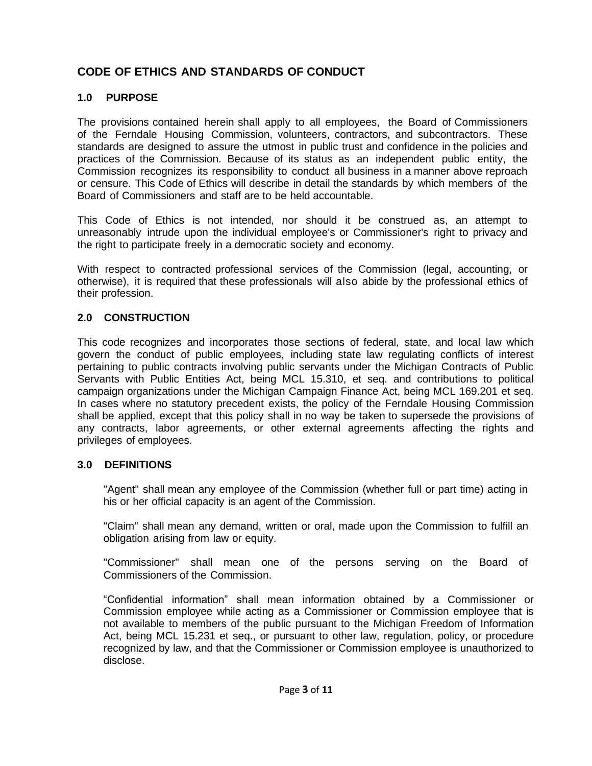# **CODE OF ETHICS AND STANDARDS OF CONDUCT**

# **1.0 PURPOSE**

The provisions contained herein shall apply to all employees, the Board of Commissioners of the Ferndale Housing Commission, volunteers, contractors, and subcontractors. These standards are designed to assure the utmost in public trust and confidence in the policies and practices of the Commission. Because of its status as an independent public entity, the Commission recognizes its responsibility to conduct all business in a manner above reproach or censure. This Code of Ethics will describe in detail the standards by which members of the Board of Commissioners and staff are to be held accountable.

This Code of Ethics is not intended, nor should it be construed as, an attempt to unreasonably intrude upon the individual employee's or Commissioner's right to privacy and the right to participate freely in a democratic society and economy.

With respect to contracted professional services of the Commission (legal, accounting, or otherwise), it is required that these professionals will also abide by the professional ethics of their profession.

## **2.0 CONSTRUCTION**

This code recognizes and incorporates those sections of federal, state, and local law which govern the conduct of public employees, including state law regulating conflicts of interest pertaining to public contracts involving public servants under the Michigan Contracts of Public Servants with Public Entities Act, being MCL 15.310, et seq. and contributions to political campaign organizations under the Michigan Campaign Finance Act, being MCL 169.201 et seq. In cases where no statutory precedent exists, the policy of the Ferndale Housing Commission shall be applied, except that this policy shall in no way be taken to supersede the provisions of any contracts, labor agreements, or other external agreements affecting the rights and privileges of employees.

# **3.0 DEFINITIONS**

"Agent" shall mean any employee of the Commission (whether full or part time) acting in his or her official capacity is an agent of the Commission.

"Claim" shall mean any demand, written or oral, made upon the Commission to fulfill an obligation arising from law or equity.

"Commissioner" shall mean one of the persons serving on the Board of Commissioners of the Commission.

"Confidential information" shall mean information obtained by a Commissioner or Commission employee while acting as a Commissioner or Commission employee that is not available to members of the public pursuant to the Michigan Freedom of Information Act, being MCL 15.231 et seq., or pursuant to other law, regulation, policy, or procedure recognized by law, and that the Commissioner or Commission employee is unauthorized to disclose.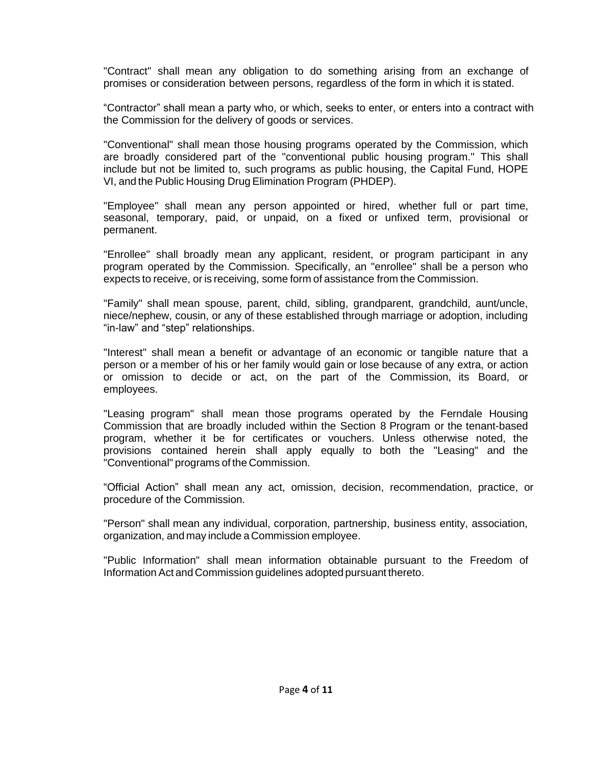"Contract" shall mean any obligation to do something arising from an exchange of promises or consideration between persons, regardless of the form in which it is stated.

"Contractor" shall mean a party who, or which, seeks to enter, or enters into a contract with the Commission for the delivery of goods or services.

"Conventional" shall mean those housing programs operated by the Commission, which are broadly considered part of the "conventional public housing program." This shall include but not be limited to, such programs as public housing, the Capital Fund, HOPE VI, and the Public Housing Drug Elimination Program (PHDEP).

"Employee" shall mean any person appointed or hired, whether full or part time, seasonal, temporary, paid, or unpaid, on a fixed or unfixed term, provisional or permanent.

"Enrollee" shall broadly mean any applicant, resident, or program participant in any program operated by the Commission. Specifically, an "enrollee" shall be a person who expects to receive, or is receiving, some form of assistance from the Commission.

"Family" shall mean spouse, parent, child, sibling, grandparent, grandchild, aunt/uncle, niece/nephew, cousin, or any of these established through marriage or adoption, including "in-law" and "step" relationships.

"Interest" shall mean a benefit or advantage of an economic or tangible nature that a person or a member of his or her family would gain or lose because of any extra, or action or omission to decide or act, on the part of the Commission, its Board, or employees.

"Leasing program" shall mean those programs operated by the Ferndale Housing Commission that are broadly included within the Section 8 Program or the tenant-based program, whether it be for certificates or vouchers. Unless otherwise noted, the provisions contained herein shall apply equally to both the "Leasing" and the "Conventional" programs of the Commission.

"Official Action" shall mean any act, omission, decision, recommendation, practice, or procedure of the Commission.

"Person" shall mean any individual, corporation, partnership, business entity, association, organization, and may include a Commission employee.

"Public Information" shall mean information obtainable pursuant to the Freedom of Information Act and Commission guidelines adopted pursuant thereto.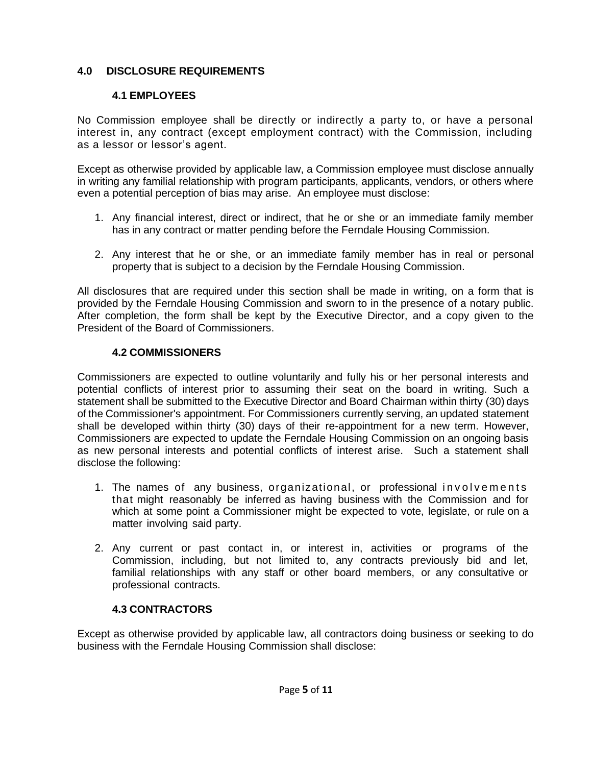## **4.0 DISCLOSURE REQUIREMENTS**

### **4.1 EMPLOYEES**

No Commission employee shall be directly or indirectly a party to, or have a personal interest in, any contract (except employment contract) with the Commission, including as a lessor or lessor's agent.

Except as otherwise provided by applicable law, a Commission employee must disclose annually in writing any familial relationship with program participants, applicants, vendors, or others where even a potential perception of bias may arise. An employee must disclose:

- 1. Any financial interest, direct or indirect, that he or she or an immediate family member has in any contract or matter pending before the Ferndale Housing Commission.
- 2. Any interest that he or she, or an immediate family member has in real or personal property that is subject to a decision by the Ferndale Housing Commission.

All disclosures that are required under this section shall be made in writing, on a form that is provided by the Ferndale Housing Commission and sworn to in the presence of a notary public. After completion, the form shall be kept by the Executive Director, and a copy given to the President of the Board of Commissioners.

## **4.2 COMMISSIONERS**

Commissioners are expected to outline voluntarily and fully his or her personal interests and potential conflicts of interest prior to assuming their seat on the board in writing. Such a statement shall be submitted to the Executive Director and Board Chairman within thirty (30) days of the Commissioner's appointment. For Commissioners currently serving, an updated statement shall be developed within thirty (30) days of their re-appointment for a new term. However, Commissioners are expected to update the Ferndale Housing Commission on an ongoing basis as new personal interests and potential conflicts of interest arise. Such a statement shall disclose the following:

- 1. The names of any business, organizational, or professional involvements that might reasonably be inferred as having business with the Commission and for which at some point a Commissioner might be expected to vote, legislate, or rule on a matter involving said party.
- 2. Any current or past contact in, or interest in, activities or programs of the Commission, including, but not limited to, any contracts previously bid and let, familial relationships with any staff or other board members, or any consultative or professional contracts.

# **4.3 CONTRACTORS**

Except as otherwise provided by applicable law, all contractors doing business or seeking to do business with the Ferndale Housing Commission shall disclose: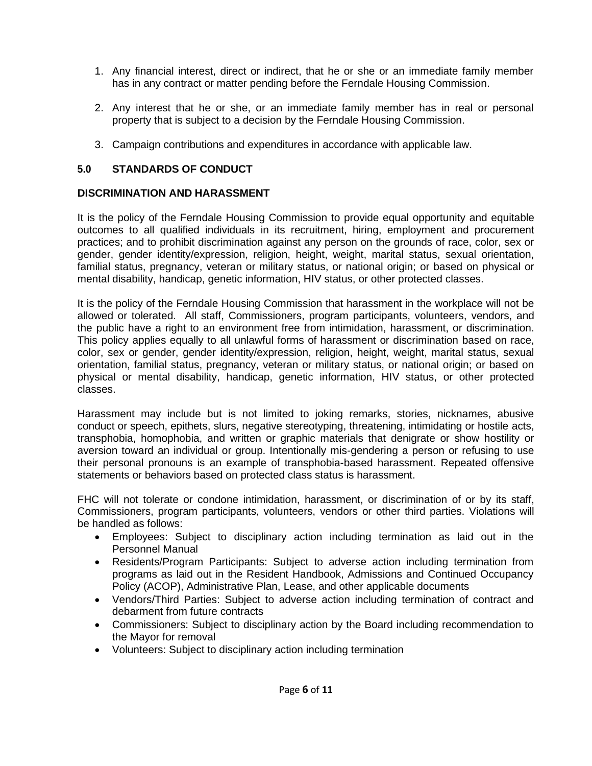- 1. Any financial interest, direct or indirect, that he or she or an immediate family member has in any contract or matter pending before the Ferndale Housing Commission.
- 2. Any interest that he or she, or an immediate family member has in real or personal property that is subject to a decision by the Ferndale Housing Commission.
- 3. Campaign contributions and expenditures in accordance with applicable law.

# **5.0 STANDARDS OF CONDUCT**

## **DISCRIMINATION AND HARASSMENT**

It is the policy of the Ferndale Housing Commission to provide equal opportunity and equitable outcomes to all qualified individuals in its recruitment, hiring, employment and procurement practices; and to prohibit discrimination against any person on the grounds of race, color, sex or gender, gender identity/expression, religion, height, weight, marital status, sexual orientation, familial status, pregnancy, veteran or military status, or national origin; or based on physical or mental disability, handicap, genetic information, HIV status, or other protected classes.

It is the policy of the Ferndale Housing Commission that harassment in the workplace will not be allowed or tolerated. All staff, Commissioners, program participants, volunteers, vendors, and the public have a right to an environment free from intimidation, harassment, or discrimination. This policy applies equally to all unlawful forms of harassment or discrimination based on race, color, sex or gender, gender identity/expression, religion, height, weight, marital status, sexual orientation, familial status, pregnancy, veteran or military status, or national origin; or based on physical or mental disability, handicap, genetic information, HIV status, or other protected classes.

Harassment may include but is not limited to joking remarks, stories, nicknames, abusive conduct or speech, epithets, slurs, negative stereotyping, threatening, intimidating or hostile acts, transphobia, homophobia, and written or graphic materials that denigrate or show hostility or aversion toward an individual or group. Intentionally mis-gendering a person or refusing to use their personal pronouns is an example of transphobia-based harassment. Repeated offensive statements or behaviors based on protected class status is harassment.

FHC will not tolerate or condone intimidation, harassment, or discrimination of or by its staff, Commissioners, program participants, volunteers, vendors or other third parties. Violations will be handled as follows:

- Employees: Subject to disciplinary action including termination as laid out in the Personnel Manual
- Residents/Program Participants: Subject to adverse action including termination from programs as laid out in the Resident Handbook, Admissions and Continued Occupancy Policy (ACOP), Administrative Plan, Lease, and other applicable documents
- Vendors/Third Parties: Subject to adverse action including termination of contract and debarment from future contracts
- Commissioners: Subject to disciplinary action by the Board including recommendation to the Mayor for removal
- Volunteers: Subject to disciplinary action including termination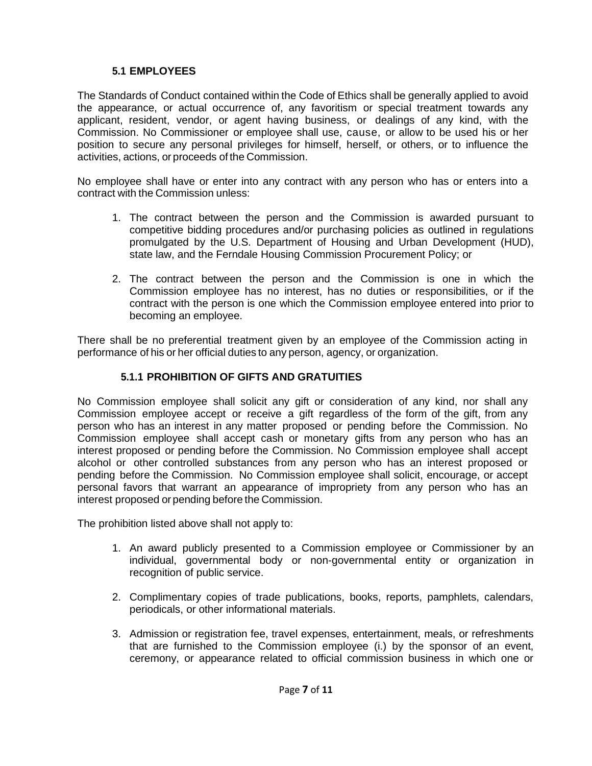# **5.1 EMPLOYEES**

The Standards of Conduct contained within the Code of Ethics shall be generally applied to avoid the appearance, or actual occurrence of, any favoritism or special treatment towards any applicant, resident, vendor, or agent having business, or dealings of any kind, with the Commission. No Commissioner or employee shall use, cause, or allow to be used his or her position to secure any personal privileges for himself, herself, or others, or to influence the activities, actions, or proceeds of the Commission.

No employee shall have or enter into any contract with any person who has or enters into a contract with the Commission unless:

- 1. The contract between the person and the Commission is awarded pursuant to competitive bidding procedures and/or purchasing policies as outlined in regulations promulgated by the U.S. Department of Housing and Urban Development (HUD), state law, and the Ferndale Housing Commission Procurement Policy; or
- 2. The contract between the person and the Commission is one in which the Commission employee has no interest, has no duties or responsibilities, or if the contract with the person is one which the Commission employee entered into prior to becoming an employee.

There shall be no preferential treatment given by an employee of the Commission acting in performance of his or her official duties to any person, agency, or organization.

# **5.1.1 PROHIBITION OF GIFTS AND GRATUITIES**

No Commission employee shall solicit any gift or consideration of any kind, nor shall any Commission employee accept or receive a gift regardless of the form of the gift, from any person who has an interest in any matter proposed or pending before the Commission. No Commission employee shall accept cash or monetary gifts from any person who has an interest proposed or pending before the Commission. No Commission employee shall accept alcohol or other controlled substances from any person who has an interest proposed or pending before the Commission. No Commission employee shall solicit, encourage, or accept personal favors that warrant an appearance of impropriety from any person who has an interest proposed or pending before the Commission.

The prohibition listed above shall not apply to:

- 1. An award publicly presented to a Commission employee or Commissioner by an individual, governmental body or non-governmental entity or organization in recognition of public service.
- 2. Complimentary copies of trade publications, books, reports, pamphlets, calendars, periodicals, or other informational materials.
- 3. Admission or registration fee, travel expenses, entertainment, meals, or refreshments that are furnished to the Commission employee (i.) by the sponsor of an event, ceremony, or appearance related to official commission business in which one or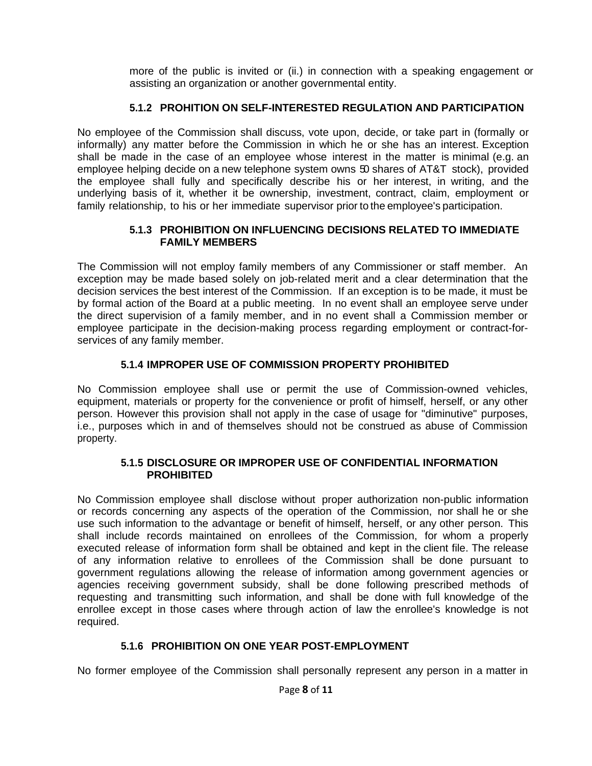more of the public is invited or (ii.) in connection with a speaking engagement or assisting an organization or another governmental entity.

## **5.1.2 PROHITION ON SELF-INTERESTED REGULATION AND PARTICIPATION**

No employee of the Commission shall discuss, vote upon, decide, or take part in (formally or informally) any matter before the Commission in which he or she has an interest. Exception shall be made in the case of an employee whose interest in the matter is minimal (e.g. an employee helping decide on a new telephone system owns 50 shares of AT&T stock), provided the employee shall fully and specifically describe his or her interest, in writing, and the underlying basis of it, whether it be ownership, investment, contract, claim, employment or family relationship, to his or her immediate supervisor prior to the employee's participation.

#### **5.1.3 PROHIBITION ON INFLUENCING DECISIONS RELATED TO IMMEDIATE FAMILY MEMBERS**

The Commission will not employ family members of any Commissioner or staff member. An exception may be made based solely on job-related merit and a clear determination that the decision services the best interest of the Commission. If an exception is to be made, it must be by formal action of the Board at a public meeting. In no event shall an employee serve under the direct supervision of a family member, and in no event shall a Commission member or employee participate in the decision-making process regarding employment or contract-forservices of any family member.

## **5.1.4 IMPROPER USE OF COMMISSION PROPERTY PROHIBITED**

No Commission employee shall use or permit the use of Commission-owned vehicles, equipment, materials or property for the convenience or profit of himself, herself, or any other person. However this provision shall not apply in the case of usage for "diminutive" purposes, i.e., purposes which in and of themselves should not be construed as abuse of Commission property.

#### **5.1.5 DISCLOSURE OR IMPROPER USE OF CONFIDENTIAL INFORMATION PROHIBITED**

No Commission employee shall disclose without proper authorization non-public information or records concerning any aspects of the operation of the Commission, nor shall he or she use such information to the advantage or benefit of himself, herself, or any other person. This shall include records maintained on enrollees of the Commission, for whom a properly executed release of information form shall be obtained and kept in the client file. The release of any information relative to enrollees of the Commission shall be done pursuant to government regulations allowing the release of information among government agencies or agencies receiving government subsidy, shall be done following prescribed methods of requesting and transmitting such information, and shall be done with full knowledge of the enrollee except in those cases where through action of law the enrollee's knowledge is not required.

### **5.1.6 PROHIBITION ON ONE YEAR POST-EMPLOYMENT**

No former employee of the Commission shall personally represent any person in a matter in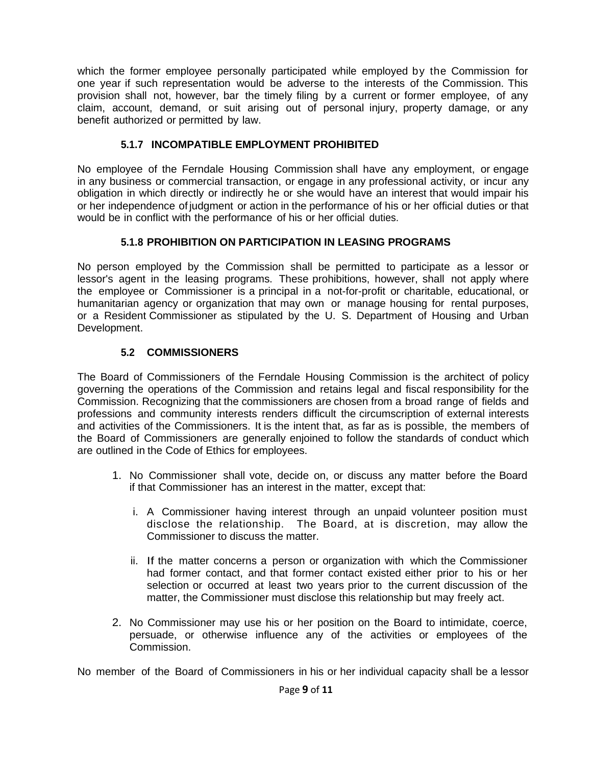which the former employee personally participated while employed by the Commission for one year if such representation would be adverse to the interests of the Commission. This provision shall not, however, bar the timely filing by a current or former employee, of any claim, account, demand, or suit arising out of personal injury, property damage, or any benefit authorized or permitted by law.

## **5.1.7 INCOMPATIBLE EMPLOYMENT PROHIBITED**

No employee of the Ferndale Housing Commission shall have any employment, or engage in any business or commercial transaction, or engage in any professional activity, or incur any obligation in which directly or indirectly he or she would have an interest that would impair his or her independence of judgment or action in the performance of his or her official duties or that would be in conflict with the performance of his or her official duties.

## **5.1.8 PROHIBITION ON PARTICIPATION IN LEASING PROGRAMS**

No person employed by the Commission shall be permitted to participate as a lessor or lessor's agent in the leasing programs. These prohibitions, however, shall not apply where the employee or Commissioner is a principal in a not-for-profit or charitable, educational, or humanitarian agency or organization that may own or manage housing for rental purposes, or a Resident Commissioner as stipulated by the U. S. Department of Housing and Urban Development.

## **5.2 COMMISSIONERS**

The Board of Commissioners of the Ferndale Housing Commission is the architect of policy governing the operations of the Commission and retains legal and fiscal responsibility for the Commission. Recognizing that the commissioners are chosen from a broad range of fields and professions and community interests renders difficult the circumscription of external interests and activities of the Commissioners. It is the intent that, as far as is possible, the members of the Board of Commissioners are generally enjoined to follow the standards of conduct which are outlined in the Code of Ethics for employees.

- 1. No Commissioner shall vote, decide on, or discuss any matter before the Board if that Commissioner has an interest in the matter, except that:
	- i. A Commissioner having interest through an unpaid volunteer position must disclose the relationship. The Board, at is discretion, may allow the Commissioner to discuss the matter.
	- ii. If the matter concerns a person or organization with which the Commissioner had former contact, and that former contact existed either prior to his or her selection or occurred at least two years prior to the current discussion of the matter, the Commissioner must disclose this relationship but may freely act.
- 2. No Commissioner may use his or her position on the Board to intimidate, coerce, persuade, or otherwise influence any of the activities or employees of the Commission.

No member of the Board of Commissioners in his or her individual capacity shall be a lessor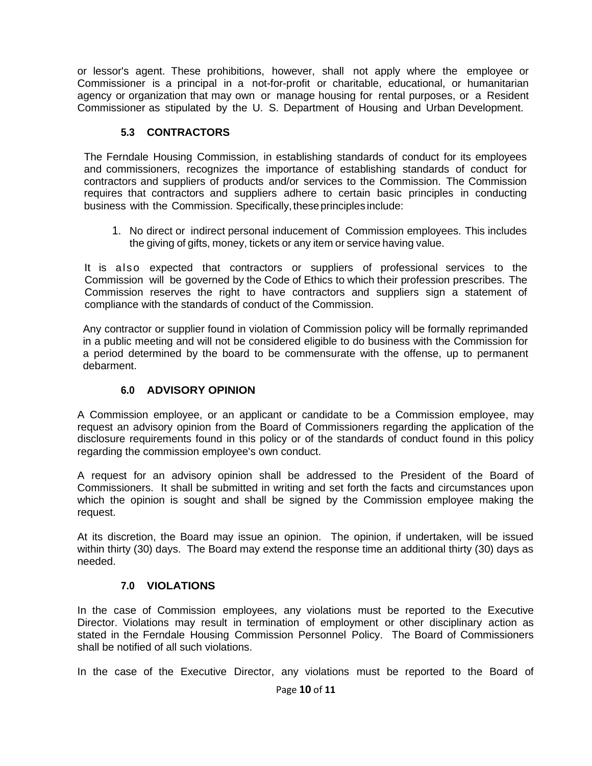or lessor's agent. These prohibitions, however, shall not apply where the employee or Commissioner is a principal in a not-for-profit or charitable, educational, or humanitarian agency or organization that may own or manage housing for rental purposes, or a Resident Commissioner as stipulated by the U. S. Department of Housing and Urban Development.

#### **5.3 CONTRACTORS**

The Ferndale Housing Commission, in establishing standards of conduct for its employees and commissioners, recognizes the importance of establishing standards of conduct for contractors and suppliers of products and/or services to the Commission. The Commission requires that contractors and suppliers adhere to certain basic principles in conducting business with the Commission. Specifically, these principles include:

1. No direct or indirect personal inducement of Commission employees. This includes the giving of gifts, money, tickets or any item or service having value.

It is also expected that contractors or suppliers of professional services to the Commission will be governed by the Code of Ethics to which their profession prescribes. The Commission reserves the right to have contractors and suppliers sign a statement of compliance with the standards of conduct of the Commission.

Any contractor or supplier found in violation of Commission policy will be formally reprimanded in a public meeting and will not be considered eligible to do business with the Commission for a period determined by the board to be commensurate with the offense, up to permanent debarment.

### **6.0 ADVISORY OPINION**

A Commission employee, or an applicant or candidate to be a Commission employee, may request an advisory opinion from the Board of Commissioners regarding the application of the disclosure requirements found in this policy or of the standards of conduct found in this policy regarding the commission employee's own conduct.

A request for an advisory opinion shall be addressed to the President of the Board of Commissioners. It shall be submitted in writing and set forth the facts and circumstances upon which the opinion is sought and shall be signed by the Commission employee making the request.

At its discretion, the Board may issue an opinion. The opinion, if undertaken, will be issued within thirty (30) days. The Board may extend the response time an additional thirty (30) days as needed.

#### **7.0 VIOLATIONS**

In the case of Commission employees, any violations must be reported to the Executive Director. Violations may result in termination of employment or other disciplinary action as stated in the Ferndale Housing Commission Personnel Policy. The Board of Commissioners shall be notified of all such violations.

In the case of the Executive Director, any violations must be reported to the Board of